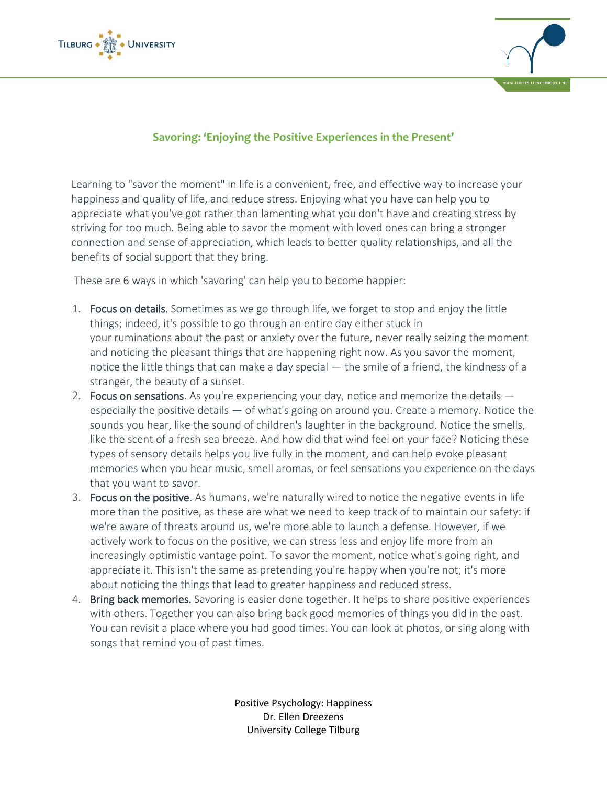



## **Savoring: 'Enjoying the Positive Experiences in the Present'**

Learning to "savor the moment" in life is a convenient, free, and effective way to increase your happiness and quality of life, and reduce stress. Enjoying what you have can help you to appreciate what you've got rather than lamenting what you don't have and creating stress by striving for too much. Being able to savor the moment with loved ones can bring a stronger connection and sense of appreciation, which leads to better quality relationships, and all the benefits of social support that they bring.

These are 6 ways in which 'savoring' can help you to become happier:

- 1. Focus on details. Sometimes as we go through life, we forget to stop and enjoy the little things; indeed, it's possible to go through an entire day either stuck in your ruminations about the past or anxiety over the future, never really seizing the moment and noticing the pleasant things that are happening right now. As you savor the moment, notice the little things that can make a day special — the smile of a friend, the kindness of a stranger, the beauty of a sunset.
- 2. Focus on sensations. As you're experiencing your day, notice and memorize the details especially the positive details — of what's going on around you. Create a memory. Notice the sounds you hear, like the sound of children's laughter in the background. Notice the smells, like the scent of a fresh sea breeze. And how did that wind feel on your face? Noticing these types of sensory details helps you live fully in the moment, and can help evoke pleasant memories when you hear music, smell aromas, or feel sensations you experience on the days that you want to savor.
- 3. Focus on the positive. As humans, we're naturally wired to notice the negative events in life more than the positive, as these are what we need to keep track of to maintain our safety: if we're aware of threats around us, we're more able to launch a defense. However, if we actively work to focus on the positive, we can stress less and enjoy life more from an increasingly optimistic vantage point. To savor the moment, notice what's going right, and appreciate it. This isn't the same as pretending you're happy when you're not; it's more about noticing the things that lead to greater happiness and reduced stress.
- 4. Bring back memories. Savoring is easier done together. It helps to share positive experiences with others. Together you can also bring back good memories of things you did in the past. You can revisit a place where you had good times. You can look at photos, or sing along with songs that remind you of past times.

Positive Psychology: Happiness Dr. Ellen Dreezens University College Tilburg